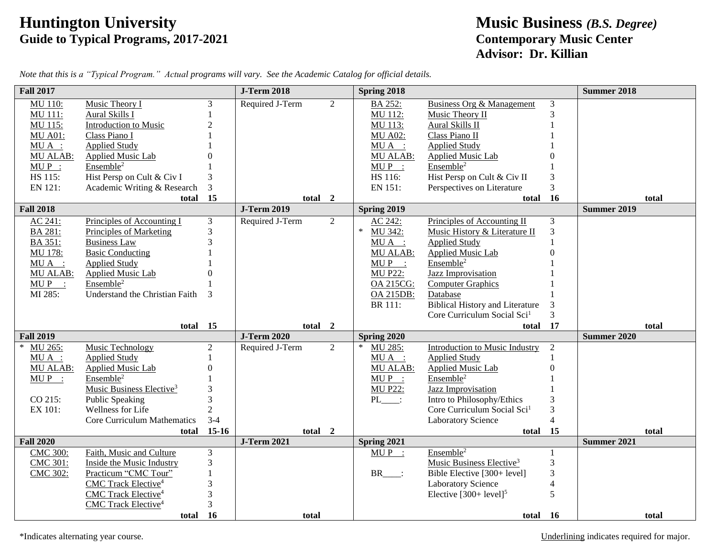## **Huntington University Music Business** *(B.S. Degree)* **Guide to Typical Programs, 2017-2021 Contemporary Music Center**

## **Advisor: Dr. Killian**

| <b>Fall 2017</b>  |                                        |                | <b>J-Term 2018</b> |   | Spring 2018       |                                         |                | <b>Summer 2018</b> |
|-------------------|----------------------------------------|----------------|--------------------|---|-------------------|-----------------------------------------|----------------|--------------------|
| <b>MU 110:</b>    | Music Theory I                         | 3              | Required J-Term    | 2 | BA 252:           | <b>Business Org &amp; Management</b>    | 3              |                    |
| <b>MU 111:</b>    | <b>Aural Skills I</b>                  |                |                    |   | MU 112:           | Music Theory II                         | 3              |                    |
| MU 115:           | Introduction to Music                  | $\overline{c}$ |                    |   | MU 113:           | Aural Skills II                         |                |                    |
| <b>MU A01:</b>    | Class Piano I                          |                |                    |   | <b>MU A02:</b>    | Class Piano II                          |                |                    |
| $MU A$ :          | <b>Applied Study</b>                   |                |                    |   | $MU A$ :          | <b>Applied Study</b>                    |                |                    |
| <b>MU ALAB:</b>   | Applied Music Lab                      |                |                    |   | MU ALAB:          | Applied Music Lab                       |                |                    |
| $MUP$ :           | Ensemble <sup>2</sup>                  |                |                    |   | $MUP$ :           | Ensemble <sup>2</sup>                   |                |                    |
| HS 115:           | Hist Persp on Cult & Civ I             | 3              |                    |   | HS 116:           | Hist Persp on Cult & Civ II             | 3              |                    |
| EN 121:           | Academic Writing & Research            | 3              |                    |   | EN 151:           | Perspectives on Literature              | 3              |                    |
|                   | total                                  | 15             | total 2            |   |                   | total                                   | 16             | total              |
| <b>Fall 2018</b>  |                                        |                | <b>J-Term 2019</b> |   | Spring 2019       |                                         |                | <b>Summer 2019</b> |
| AC 241:           | Principles of Accounting I             | 3              | Required J-Term    | 2 | AC 242:           | Principles of Accounting II             | 3              |                    |
| BA 281:           | Principles of Marketing                | 3              |                    |   | $\ast$<br>MU 342: | Music History & Literature II           | 3              |                    |
| BA 351:           | <b>Business Law</b>                    | 3              |                    |   | MUA :             | <b>Applied Study</b>                    |                |                    |
| MU 178:           | <b>Basic Conducting</b>                |                |                    |   | MU ALAB:          | Applied Music Lab                       |                |                    |
| $MUA$ :           | <b>Applied Study</b>                   |                |                    |   | $MUP$ :           | Ensemble <sup>2</sup>                   |                |                    |
| MU ALAB:          | <b>Applied Music Lab</b>               |                |                    |   | <b>MU P22:</b>    | <b>Jazz Improvisation</b>               |                |                    |
| $MUP$ :           | Ensemble <sup>2</sup>                  |                |                    |   | <b>OA 215CG:</b>  | <b>Computer Graphics</b>                |                |                    |
| MI 285:           | Understand the Christian Faith         | 3              |                    |   | OA 215DB:         | Database                                |                |                    |
|                   |                                        |                |                    |   | <b>BR</b> 111:    | <b>Biblical History and Literature</b>  | 3              |                    |
|                   |                                        |                |                    |   |                   | Core Curriculum Social Sci <sup>1</sup> | $\overline{3}$ |                    |
|                   | total                                  | 15             | total 2            |   |                   | total                                   | 17             | total              |
| <b>Fall 2019</b>  |                                        |                | <b>J-Term 2020</b> |   | Spring 2020       |                                         |                | <b>Summer 2020</b> |
| MU 265:<br>$\ast$ | Music Technology                       | $\overline{c}$ | Required J-Term    | 2 | MU 285:           | Introduction to Music Industry          | 2              |                    |
| $MU A$ :          | <b>Applied Study</b>                   |                |                    |   | $MU A$ :          | <b>Applied Study</b>                    |                |                    |
| MU ALAB:          | Applied Music Lab                      |                |                    |   | MU ALAB:          | Applied Music Lab                       | በ              |                    |
| $MUP$ :           | Ensemble <sup>2</sup>                  |                |                    |   | $MUP$ :           | Ensemble <sup>2</sup>                   |                |                    |
|                   | Music Business Elective <sup>3</sup>   |                |                    |   | <b>MU P22:</b>    | Jazz Improvisation                      |                |                    |
| CO 215:           | <b>Public Speaking</b>                 | 3              |                    |   | PL :              | Intro to Philosophy/Ethics              |                |                    |
| EX 101:           | Wellness for Life                      | $\overline{2}$ |                    |   |                   | Core Curriculum Social Sci <sup>1</sup> | 3              |                    |
|                   | Core Curriculum Mathematics            | $3 - 4$        |                    |   |                   | <b>Laboratory Science</b>               | $\overline{4}$ |                    |
|                   | total                                  | $15-16$        | total 2            |   |                   | total                                   | 15             | total              |
| <b>Fall 2020</b>  |                                        |                | <b>J-Term 2021</b> |   | Spring 2021       |                                         |                | Summer 2021        |
| <b>CMC 300:</b>   | Faith, Music and Culture               | 3              |                    |   | $MU P$ :          | Ensemble <sup>2</sup>                   |                |                    |
| <b>CMC 301:</b>   | Inside the Music Industry              | 3              |                    |   |                   | Music Business Elective <sup>3</sup>    | 3              |                    |
| <b>CMC 302:</b>   | Practicum "CMC Tour"                   |                |                    |   | $BR$ :            | Bible Elective [300+ level]             | 3              |                    |
|                   | CMC Track Elective <sup>4</sup>        |                |                    |   |                   | Laboratory Science                      | 4              |                    |
|                   | CMC Track Elective <sup>4</sup>        | 3              |                    |   |                   | Elective $[300+level]$ <sup>5</sup>     | 5              |                    |
|                   | <b>CMC</b> Track Elective <sup>4</sup> | 3              |                    |   |                   |                                         |                |                    |
|                   | total                                  | - 16           | total              |   |                   | total 16                                |                | total              |

*Note that this is a "Typical Program." Actual programs will vary. See the Academic Catalog for official details.*

\*Indicates alternating year course. Underlining indicates required for major.